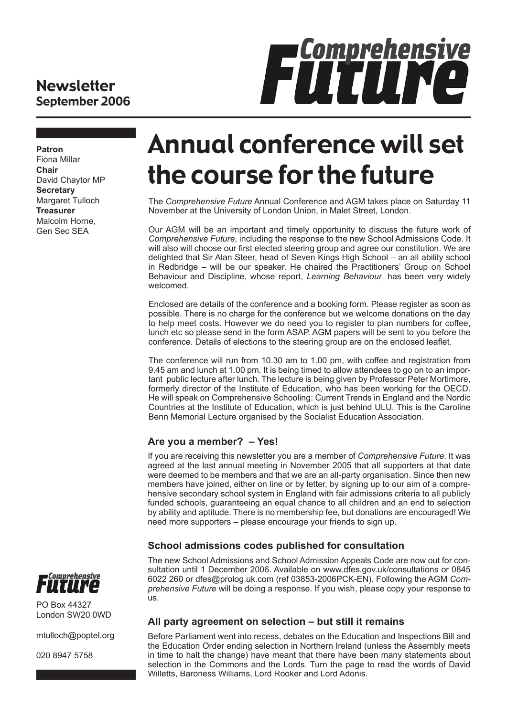## **Newsletter** September 2006



**Patron** Fiona Millar **Chair** David Chaytor MP **Secretary** Margaret Tulloch **Treasurer** Malcolm Horne, Gen Sec SEA

# Annual conference will set the course for the future

The *Comprehensive Future* Annual Conference and AGM takes place on Saturday 11 November at the University of London Union, in Malet Street, London.

Our AGM will be an important and timely opportunity to discuss the future work of *Comprehensive Future*, including the response to the new School Admissions Code. It will also will choose our first elected steering group and agree our constitution. We are delighted that Sir Alan Steer, head of Seven Kings High School – an all ability school in Redbridge – will be our speaker. He chaired the Practitioners' Group on School Behaviour and Discipline, whose report, *Learning Behaviour* , has been very widely welcomed.

Enclosed are details of the conference and a booking form. Please register as soon as possible. There is no charge for the conference but we welcome donations on the day to help meet costs. However we do need you to register to plan numbers for coffee, lunch etc so please send in the form ASAP. AGM papers will be sent to you before the conference. Details of elections to the steering group are on the enclosed leaflet.

The conference will run from 10.30 am to 1.00 pm, with coffee and registration from 9.45 am and lunch at 1.00 pm. It is being timed to allow attendees to go on to an important public lecture after lunch. The lecture is being given by Professor Peter Mortimore, formerly director of the Institute of Education, who has been working for the OECD. He will speak on Comprehensive Schooling: Current Trends in England and the Nordic Countries at the Institute of Education, which is just behind ULU. This is the Caroline Benn Memorial Lecture organised by the Socialist Education Association.

### **Are you a member? – Yes!**

If you are receiving this newsletter you are a member of *Comprehensive Future*. It was agreed at the last annual meeting in November 2005 that all supporters at that date were deemed to be members and that we are an all-party organisation. Since then new members have joined, either on line or by letter, by signing up to our aim of a comprehensive secondary school system in England with fair admissions criteria to all publicly funded schools, guaranteeing an equal chance to all children and an end to selection by ability and aptitude. There is no membership fee, but donations are encouraged! We need more supporters – please encourage your friends to sign up.

## **School admissions codes published for consultation**

The new School Admissions and School Admission Appeals Code are now out for consultation until 1 December 2006. Available on www.dfes.gov.uk/consultations or 0845 6022 260 or dfes@prolog.uk.com (ref 03853-2006PCK-EN). Following the AGM *Comprehensive Future* will be doing a response. If you wish, please copy your response to us.



PO Box 44327 London SW20 0WD

mtulloch@poptel.org

020 8947 5758

### **All party agreement on selection – but still it remains**

Before Parliament went into recess, debates on the Education and Inspections Bill and the Education Order ending selection in Northern Ireland (unless the Assembly meets in time to halt the change) have meant that there have been many statements about selection in the Commons and the Lords. Turn the page to read the words of David Willetts, Baroness Williams, Lord Rooker and Lord Adonis.